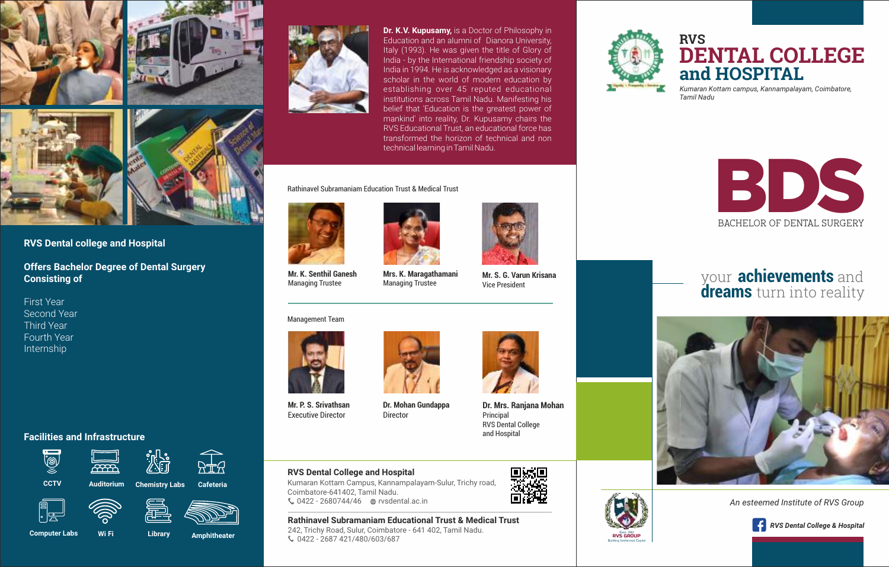



# **RVS Dental college and Hospital**

**Offers Bachelor Degree of Dental Surgery Consisting of** 

First Year Second Year Third Year Fourth Year Internship

## **Facilities and Infrastructure**



**Computer Labs Wi Fi** 

 **Library Amphitheater**



**Dr. K.V. Kupusamy,** is a Doctor of Philosophy in Education and an alumni of Dianora University, Italy (1993). He was given the title of Glory of India - by the International friendship society of India in 1994. He is acknowledged as a visionary scholar in the world of modern education by establishing over 45 reputed educational institutions across Tamil Nadu. Manifesting his belief that 'Education is the greatest power of mankind' into reality, Dr. Kupusamy chairs the RVS Educational Trust, an educational force has transformed the horizon of technical and non technical learning in Tamil Nadu.

Rathinavel Subramaniam Education Trust & Medical Trust



**Mr. K. Senthil Ganesh** Managing Trustee

#### Management Team



**Mr. P. S. Srivathsan**  Executive Director



**Mrs. K. Maragathamani** Managing Trustee

**Dr. Mohan Gundappa**

**Dr. Mrs. Ranjana Mohan** Principal RVS Dental College and Hospital

**Mr. S. G. Varun Krisana** Vice President

### **RVS Dental College and Hospital**

Kumaran Kottam Campus, Kannampalayam-Sulur, Trichy road, Coimbatore-641402, Tamil Nadu. 0422 - 2680744/46 rvsdental.ac.in (

Director

#### **Rathinavel Subramaniam Educational Trust & Medical Trust**

242, Trichy Road, Sulur, Coimbatore - 641 402, Tamil Nadu. 0422 - 2687 421/480/603/687 (



RVS GROUP Estd. 1983 Building Intellectual Capital

# **RVS DENTAL COLLEGE and HOSPITAL**

*Kumaran Kottam campus, Kannampalayam, Coimbatore, Tamil Nadu*



# your **achievements** and **dreams** turn into reality



*An esteemed Institute of RVS Group*